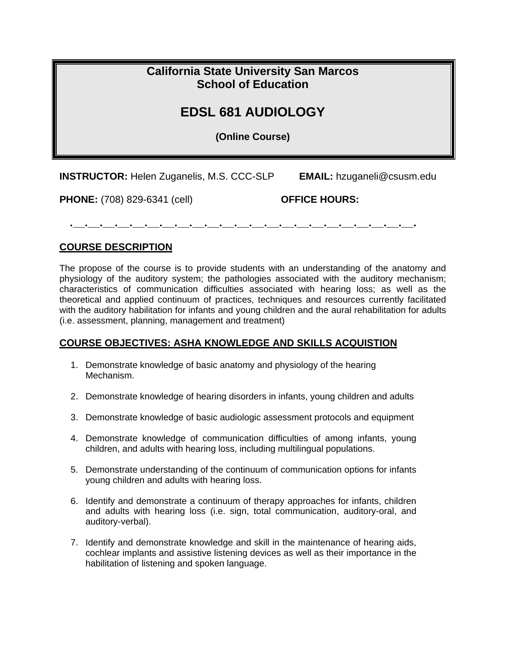## **California State University San Marcos School of Education**

## **EDSL 681 AUDIOLOGY**

**(Online Course)** 

**INSTRUCTOR:** Helen Zuganelis, M.S. CCC-SLP **EMAIL:** hzuganeli@csusm.edu

**PHONE:** (708) 829-6341 (cell) **OFFICE HOURS:** 

**.\_\_.\_\_.\_\_.\_\_.\_\_.\_\_.\_\_.\_\_.\_\_.\_\_.\_\_.\_\_.\_\_.\_\_.\_\_.\_\_.\_\_.\_\_.\_\_.\_\_.\_\_.\_\_.\_\_.** 

#### **COURSE DESCRIPTION**

The propose of the course is to provide students with an understanding of the anatomy and physiology of the auditory system; the pathologies associated with the auditory mechanism; characteristics of communication difficulties associated with hearing loss; as well as the theoretical and applied continuum of practices, techniques and resources currently facilitated with the auditory habilitation for infants and young children and the aural rehabilitation for adults (i.e. assessment, planning, management and treatment)

#### **COURSE OBJECTIVES: ASHA KNOWLEDGE AND SKILLS ACQUISTION**

- 1. Demonstrate knowledge of basic anatomy and physiology of the hearing Mechanism.
- 2. Demonstrate knowledge of hearing disorders in infants, young children and adults
- 3. Demonstrate knowledge of basic audiologic assessment protocols and equipment
- 4. Demonstrate knowledge of communication difficulties of among infants, young children, and adults with hearing loss, including multilingual populations.
- 5. Demonstrate understanding of the continuum of communication options for infants young children and adults with hearing loss.
- 6. Identify and demonstrate a continuum of therapy approaches for infants, children and adults with hearing loss (i.e. sign, total communication, auditory-oral, and auditory-verbal).
- 7. Identify and demonstrate knowledge and skill in the maintenance of hearing aids, cochlear implants and assistive listening devices as well as their importance in the habilitation of listening and spoken language.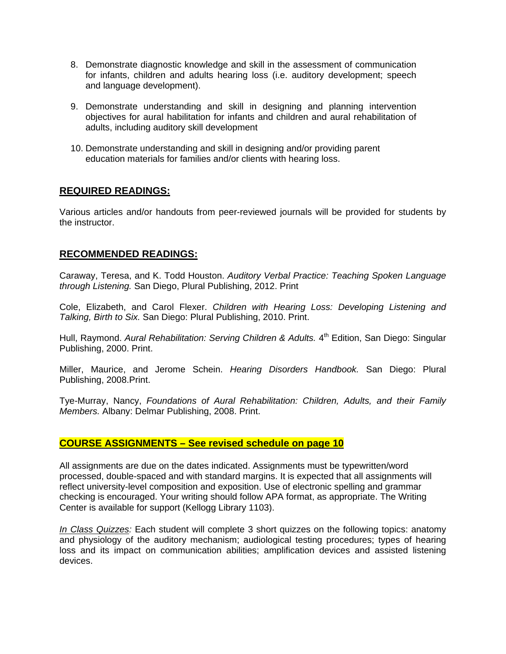- 8. Demonstrate diagnostic knowledge and skill in the assessment of communication for infants, children and adults hearing loss (i.e. auditory development; speech and language development).
- 9. Demonstrate understanding and skill in designing and planning intervention objectives for aural habilitation for infants and children and aural rehabilitation of adults, including auditory skill development
- 10. Demonstrate understanding and skill in designing and/or providing parent education materials for families and/or clients with hearing loss.

#### **REQUIRED READINGS:**

Various articles and/or handouts from peer-reviewed journals will be provided for students by the instructor.

#### **RECOMMENDED READINGS:**

Caraway, Teresa, and K. Todd Houston. *Auditory Verbal Practice: Teaching Spoken Language through Listening.* San Diego, Plural Publishing, 2012. Print

Cole, Elizabeth, and Carol Flexer. *Children with Hearing Loss: Developing Listening and Talking, Birth to Six.* San Diego: Plural Publishing, 2010. Print.

Hull, Raymond. *Aural Rehabilitation: Serving Children & Adults.* 4<sup>th</sup> Edition, San Diego: Singular Publishing, 2000. Print.

Miller, Maurice, and Jerome Schein. *Hearing Disorders Handbook.* San Diego: Plural Publishing, 2008.Print.

Tye-Murray, Nancy, *Foundations of Aural Rehabilitation: Children, Adults, and their Family Members.* Albany: Delmar Publishing, 2008. Print.

#### **COURSE ASSIGNMENTS – See revised schedule on page 10**

All assignments are due on the dates indicated. Assignments must be typewritten/word processed, double-spaced and with standard margins. It is expected that all assignments will reflect university-level composition and exposition. Use of electronic spelling and grammar checking is encouraged. Your writing should follow APA format, as appropriate. The Writing Center is available for support (Kellogg Library 1103).

*In Class Quizzes:* Each student will complete 3 short quizzes on the following topics: anatomy and physiology of the auditory mechanism; audiological testing procedures; types of hearing loss and its impact on communication abilities; amplification devices and assisted listening devices.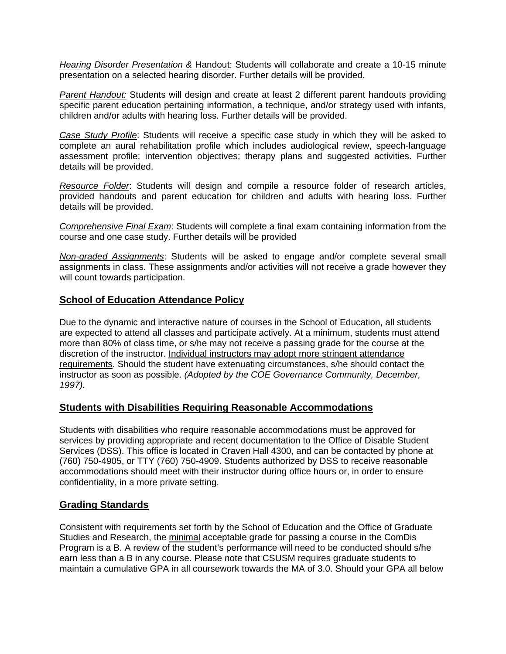*Hearing Disorder Presentation &* Handout: Students will collaborate and create a 10-15 minute presentation on a selected hearing disorder. Further details will be provided.

*Parent Handout:* Students will design and create at least 2 different parent handouts providing specific parent education pertaining information, a technique, and/or strategy used with infants, children and/or adults with hearing loss. Further details will be provided.

*Case Study Profile*: Students will receive a specific case study in which they will be asked to complete an aural rehabilitation profile which includes audiological review, speech-language assessment profile; intervention objectives; therapy plans and suggested activities. Further details will be provided.

*Resource Folder*: Students will design and compile a resource folder of research articles, provided handouts and parent education for children and adults with hearing loss. Further details will be provided.

*Comprehensive Final Exam*: Students will complete a final exam containing information from the course and one case study. Further details will be provided

*Non-graded Assignments*: Students will be asked to engage and/or complete several small assignments in class. These assignments and/or activities will not receive a grade however they will count towards participation.

#### **School of Education Attendance Policy**

Due to the dynamic and interactive nature of courses in the School of Education, all students are expected to attend all classes and participate actively. At a minimum, students must attend more than 80% of class time, or s/he may not receive a passing grade for the course at the discretion of the instructor. Individual instructors may adopt more stringent attendance requirements. Should the student have extenuating circumstances, s/he should contact the instructor as soon as possible. *(Adopted by the COE Governance Community, December, 1997).* 

#### **Students with Disabilities Requiring Reasonable Accommodations**

Students with disabilities who require reasonable accommodations must be approved for services by providing appropriate and recent documentation to the Office of Disable Student Services (DSS). This office is located in Craven Hall 4300, and can be contacted by phone at (760) 750-4905, or TTY (760) 750-4909. Students authorized by DSS to receive reasonable accommodations should meet with their instructor during office hours or, in order to ensure confidentiality, in a more private setting.

#### **Grading Standards**

Consistent with requirements set forth by the School of Education and the Office of Graduate Studies and Research, the minimal acceptable grade for passing a course in the ComDis Program is a B. A review of the student's performance will need to be conducted should s/he earn less than a B in any course. Please note that CSUSM requires graduate students to maintain a cumulative GPA in all coursework towards the MA of 3.0. Should your GPA all below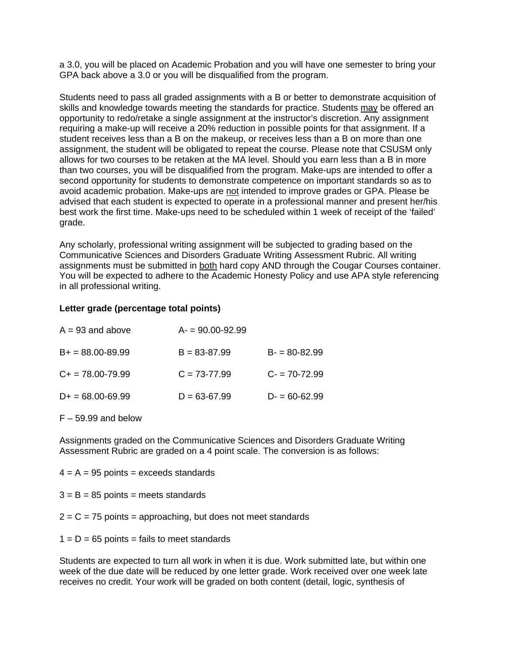a 3.0, you will be placed on Academic Probation and you will have one semester to bring your GPA back above a 3.0 or you will be disqualified from the program.

Students need to pass all graded assignments with a B or better to demonstrate acquisition of skills and knowledge towards meeting the standards for practice. Students may be offered an opportunity to redo/retake a single assignment at the instructor's discretion. Any assignment requiring a make-up will receive a 20% reduction in possible points for that assignment. If a student receives less than a B on the makeup, or receives less than a B on more than one assignment, the student will be obligated to repeat the course. Please note that CSUSM only allows for two courses to be retaken at the MA level. Should you earn less than a B in more than two courses, you will be disqualified from the program. Make-ups are intended to offer a second opportunity for students to demonstrate competence on important standards so as to avoid academic probation. Make-ups are not intended to improve grades or GPA. Please be advised that each student is expected to operate in a professional manner and present her/his best work the first time. Make-ups need to be scheduled within 1 week of receipt of the 'failed' grade.

Any scholarly, professional writing assignment will be subjected to grading based on the Communicative Sciences and Disorders Graduate Writing Assessment Rubric. All writing assignments must be submitted in both hard copy AND through the Cougar Courses container. You will be expected to adhere to the Academic Honesty Policy and use APA style referencing in all professional writing.

#### **Letter grade (percentage total points)**

| $A = 93$ and above   | $A = 90.00 - 92.99$ |                  |
|----------------------|---------------------|------------------|
| $B+ = 88.00 - 89.99$ | $B = 83 - 87.99$    | $B = 80 - 82.99$ |
| $C+=78.00-79.99$     | $C = 73-77.99$      | $C = 70 - 72.99$ |
| $D+ = 68.00-69.99$   | $D = 63 - 67.99$    | $D = 60 - 62.99$ |

 $F - 59.99$  and below

 Assessment Rubric are graded on a 4 point scale. The conversion is as follows: Assignments graded on the Communicative Sciences and Disorders Graduate Writing

 $4 = A = 95$  points = exceeds standards

 $3 = B = 85$  points = meets standards

2 = C = 75 points = approaching, but does not meet standards<br>1 = D = 65 points = fails to meet standards

Students are expected to turn all work in when it is due. Work submitted late, but within one week of the due date will be reduced by one letter grade. Work received over one week late receives no credit. Your work will be graded on both content (detail, logic, synthesis of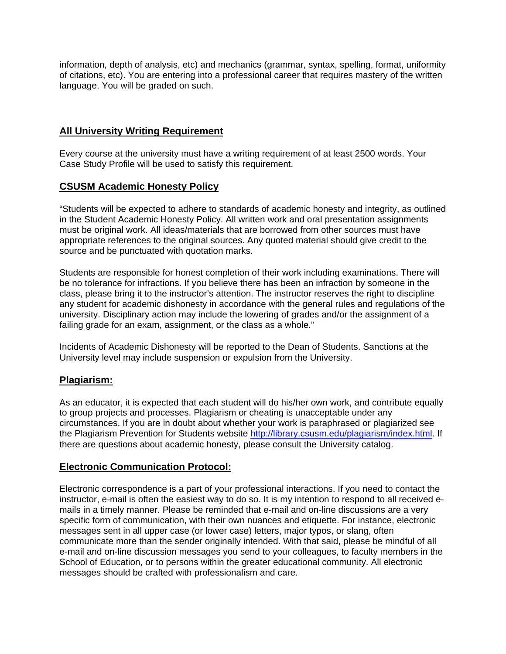information, depth of analysis, etc) and mechanics (grammar, syntax, spelling, format, uniformity of citations, etc). You are entering into a professional career that requires mastery of the written language. You will be graded on such.

#### **All University Writing Requirement**

Every course at the university must have a writing requirement of at least 2500 words. Your Case Study Profile will be used to satisfy this requirement.

#### **CSUSM Academic Honesty Policy**

source and be punctuated with quotation marks. "Students will be expected to adhere to standards of academic honesty and integrity, as outlined in the Student Academic Honesty Policy. All written work and oral presentation assignments must be original work. All ideas/materials that are borrowed from other sources must have appropriate references to the original sources. Any quoted material should give credit to the

Students are responsible for honest completion of their work including examinations. There will be no tolerance for infractions. If you believe there has been an infraction by someone in the class, please bring it to the instructor's attention. The instructor reserves the right to discipline any student for academic dishonesty in accordance with the general rules and regulations of the university. Disciplinary action may include the lowering of grades and/or the assignment of a failing grade for an exam, assignment, or the class as a whole."

 University level may include suspension or expulsion from the University. Incidents of Academic Dishonesty will be reported to the Dean of Students. Sanctions at the

#### **Plagiarism:**

As an educator, it is expected that each student will do his/her own work, and contribute equally to group projects and processes. Plagiarism or cheating is unacceptable under any circumstances. If you are in doubt about whether your work is paraphrased or plagiarized see the Plagiarism Prevention for Students website http://library.csusm.edu/plagiarism/index.html. If there are questions about academic honesty, please consult the University catalog.

#### **Electronic Communication Protocol:**

Electronic correspondence is a part of your professional interactions. If you need to contact the instructor, e-mail is often the easiest way to do so. It is my intention to respond to all received emails in a timely manner. Please be reminded that e-mail and on-line discussions are a very specific form of communication, with their own nuances and etiquette. For instance, electronic messages sent in all upper case (or lower case) letters, major typos, or slang, often communicate more than the sender originally intended. With that said, please be mindful of all e-mail and on-line discussion messages you send to your colleagues, to faculty members in the School of Education, or to persons within the greater educational community. All electronic messages should be crafted with professionalism and care.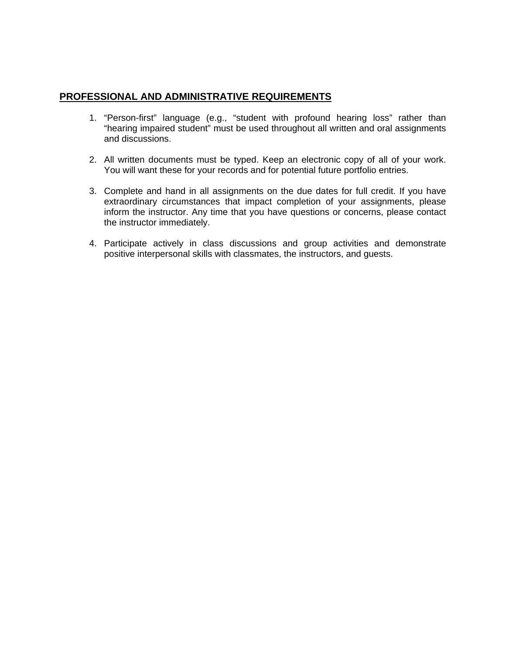#### **PROFESSIONAL AND ADMINISTRATIVE REQUIREMENTS**

- 1. "Person-first" language (e.g., "student with profound hearing loss" rather than "hearing impaired student" must be used throughout all written and oral assignments and discussions.
- 2. All written documents must be typed. Keep an electronic copy of all of your work. You will want these for your records and for potential future portfolio entries.
- 3. Complete and hand in all assignments on the due dates for full credit. If you have extraordinary circumstances that impact completion of your assignments, please inform the instructor. Any time that you have questions or concerns, please contact the instructor immediately.
- 4. Participate actively in class discussions and group activities and demonstrate positive interpersonal skills with classmates, the instructors, and guests.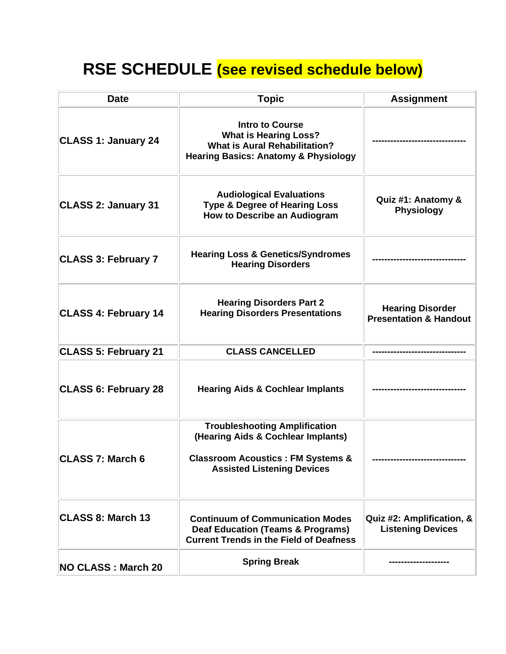## **RSE SCHEDULE (see revised schedule below)**

| <b>Date</b>                 | <b>Topic</b>                                                                                                                                                    | <b>Assignment</b>                                            |
|-----------------------------|-----------------------------------------------------------------------------------------------------------------------------------------------------------------|--------------------------------------------------------------|
| <b>CLASS 1: January 24</b>  | <b>Intro to Course</b><br><b>What is Hearing Loss?</b><br><b>What is Aural Rehabilitation?</b><br><b>Hearing Basics: Anatomy &amp; Physiology</b>               |                                                              |
| <b>CLASS 2: January 31</b>  | <b>Audiological Evaluations</b><br><b>Type &amp; Degree of Hearing Loss</b><br><b>How to Describe an Audiogram</b>                                              | Quiz #1: Anatomy &<br><b>Physiology</b>                      |
| <b>CLASS 3: February 7</b>  | <b>Hearing Loss &amp; Genetics/Syndromes</b><br><b>Hearing Disorders</b>                                                                                        |                                                              |
| <b>CLASS 4: February 14</b> | <b>Hearing Disorders Part 2</b><br><b>Hearing Disorders Presentations</b>                                                                                       | <b>Hearing Disorder</b><br><b>Presentation &amp; Handout</b> |
| <b>CLASS 5: February 21</b> | <b>CLASS CANCELLED</b>                                                                                                                                          |                                                              |
| <b>CLASS 6: February 28</b> | <b>Hearing Aids &amp; Cochlear Implants</b>                                                                                                                     |                                                              |
| <b>CLASS 7: March 6</b>     | <b>Troubleshooting Amplification</b><br>(Hearing Aids & Cochlear Implants)<br><b>Classroom Acoustics: FM Systems &amp;</b><br><b>Assisted Listening Devices</b> |                                                              |
| CLASS 8: March 13           | <b>Continuum of Communication Modes</b><br><b>Deaf Education (Teams &amp; Programs)</b><br><b>Current Trends in the Field of Deafness</b>                       | Quiz #2: Amplification, &<br><b>Listening Devices</b>        |
| <b>NO CLASS: March 20</b>   | <b>Spring Break</b>                                                                                                                                             |                                                              |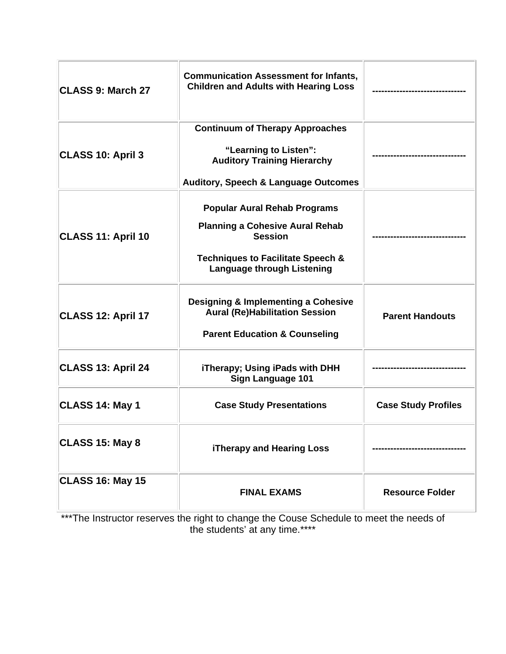| CLASS 9: March 27         | <b>Communication Assessment for Infants,</b><br><b>Children and Adults with Hearing Loss</b>                                                                                         |                            |
|---------------------------|--------------------------------------------------------------------------------------------------------------------------------------------------------------------------------------|----------------------------|
| <b>CLASS 10: April 3</b>  | <b>Continuum of Therapy Approaches</b><br>"Learning to Listen":<br><b>Auditory Training Hierarchy</b><br><b>Auditory, Speech &amp; Language Outcomes</b>                             |                            |
| <b>CLASS 11: April 10</b> | <b>Popular Aural Rehab Programs</b><br><b>Planning a Cohesive Aural Rehab</b><br><b>Session</b><br><b>Techniques to Facilitate Speech &amp;</b><br><b>Language through Listening</b> |                            |
| CLASS 12: April 17        | <b>Designing &amp; Implementing a Cohesive</b><br><b>Aural (Re)Habilitation Session</b><br><b>Parent Education &amp; Counseling</b>                                                  | <b>Parent Handouts</b>     |
| CLASS 13: April 24        | iTherapy; Using iPads with DHH<br><b>Sign Language 101</b>                                                                                                                           |                            |
| CLASS 14: May 1           | <b>Case Study Presentations</b>                                                                                                                                                      | <b>Case Study Profiles</b> |
| CLASS 15: May 8           | <b>iTherapy and Hearing Loss</b>                                                                                                                                                     |                            |
| <b>CLASS 16: May 15</b>   | <b>FINAL EXAMS</b>                                                                                                                                                                   | <b>Resource Folder</b>     |

\*\*\*The Instructor reserves the right to change the Couse Schedule to meet the needs of the students' at any time.\*\*\*\*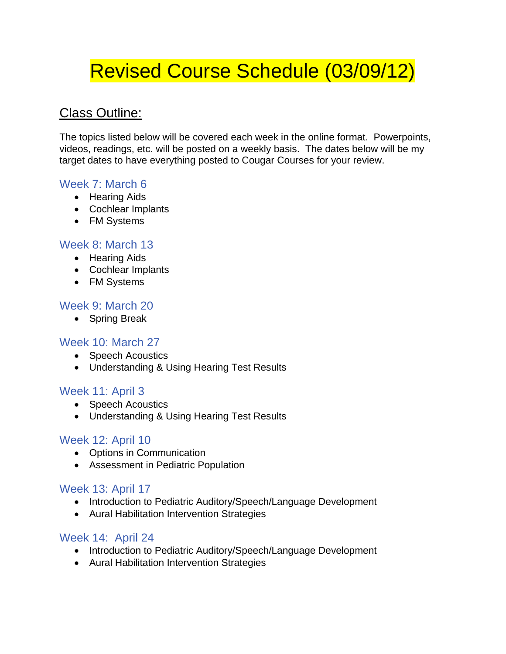# Revised Course Schedule (03/09/12)

## Class Outline:

The topics listed below will be covered each week in the online format. Powerpoints, videos, readings, etc. will be posted on a weekly basis. The dates below will be my target dates to have everything posted to Cougar Courses for your review.

## Week 7: March 6

- Hearing Aids
- Cochlear Implants
- FM Systems

## Week 8: March 13

- Hearing Aids
- Cochlear Implants
- FM Systems

## Week 9: March 20

• Spring Break

## Week 10: March 27

- Speech Acoustics
- Understanding & Using Hearing Test Results

## Week 11: April 3

- Speech Acoustics
- Understanding & Using Hearing Test Results

## Week 12: April 10

- Options in Communication
- Assessment in Pediatric Population

#### Week 13: April 17

- Introduction to Pediatric Auditory/Speech/Language Development
- Aural Habilitation Intervention Strategies

## Week 14: April 24

- Introduction to Pediatric Auditory/Speech/Language Development
- Aural Habilitation Intervention Strategies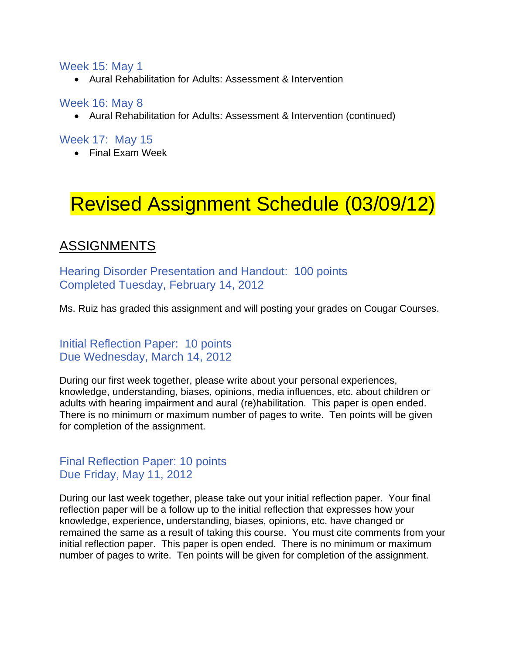#### Week 15: May 1

Aural Rehabilitation for Adults: Assessment & Intervention

#### Week 16: May 8

Aural Rehabilitation for Adults: Assessment & Intervention (continued)

## Week 17: May 15

Final Exam Week

# Revised Assignment Schedule (03/09/12)

## ASSIGNMENTS

Hearing Disorder Presentation and Handout: 100 points Completed Tuesday, February 14, 2012

Ms. Ruiz has graded this assignment and will posting your grades on Cougar Courses.

Initial Reflection Paper: 10 points Due Wednesday, March 14, 2012

During our first week together, please write about your personal experiences, knowledge, understanding, biases, opinions, media influences, etc. about children or adults with hearing impairment and aural (re)habilitation. This paper is open ended. There is no minimum or maximum number of pages to write. Ten points will be given for completion of the assignment.

## Final Reflection Paper: 10 points Due Friday, May 11, 2012

During our last week together, please take out your initial reflection paper. Your final reflection paper will be a follow up to the initial reflection that expresses how your knowledge, experience, understanding, biases, opinions, etc. have changed or remained the same as a result of taking this course. You must cite comments from your initial reflection paper. This paper is open ended. There is no minimum or maximum number of pages to write. Ten points will be given for completion of the assignment.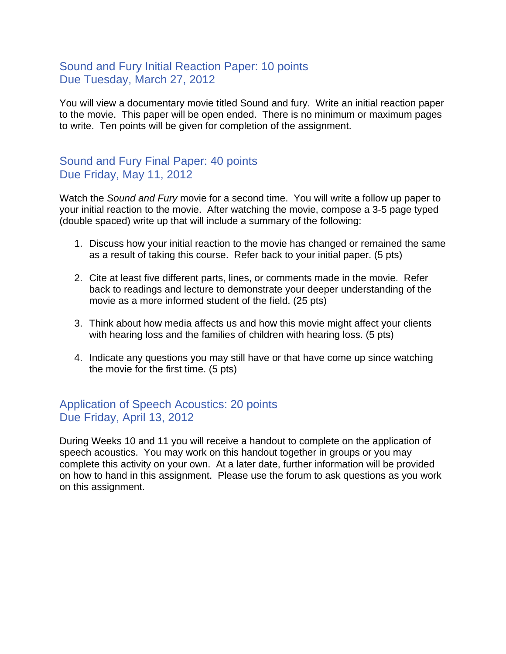## Sound and Fury Initial Reaction Paper: 10 points Due Tuesday, March 27, 2012

You will view a documentary movie titled Sound and fury. Write an initial reaction paper to the movie. This paper will be open ended. There is no minimum or maximum pages to write. Ten points will be given for completion of the assignment.

## Sound and Fury Final Paper: 40 points Due Friday, May 11, 2012

Watch the *Sound and Fury* movie for a second time. You will write a follow up paper to your initial reaction to the movie. After watching the movie, compose a 3-5 page typed (double spaced) write up that will include a summary of the following:

- 1. Discuss how your initial reaction to the movie has changed or remained the same as a result of taking this course. Refer back to your initial paper. (5 pts)
- 2. Cite at least five different parts, lines, or comments made in the movie. Refer back to readings and lecture to demonstrate your deeper understanding of the movie as a more informed student of the field. (25 pts)
- 3. Think about how media affects us and how this movie might affect your clients with hearing loss and the families of children with hearing loss. (5 pts)
- 4. Indicate any questions you may still have or that have come up since watching the movie for the first time. (5 pts)

## Application of Speech Acoustics: 20 points Due Friday, April 13, 2012

During Weeks 10 and 11 you will receive a handout to complete on the application of speech acoustics. You may work on this handout together in groups or you may complete this activity on your own. At a later date, further information will be provided on how to hand in this assignment. Please use the forum to ask questions as you work on this assignment.